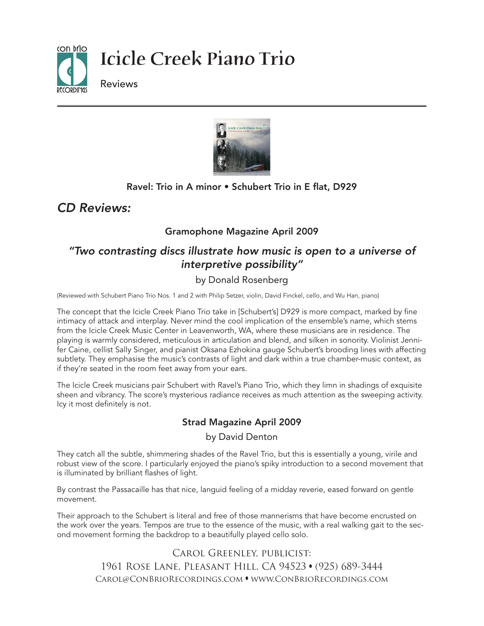



## Ravel: Trio in A minor • Schubert Trio in E flat, D929

## *CD Reviews:*

## Gramophone Magazine April 2009

## *"Two contrasting discs illustrate how music is open to a universe of interpretive possibility"*

## by Donald Rosenberg

(Reviewed with Schubert Piano Trio Nos. 1 and 2 with Philip Setzer, violin, David Finckel, cello, and Wu Han, piano)

The concept that the Icicle Creek Piano Trio take in [Schubert's] D929 is more compact, marked by fine intimacy of attack and interplay. Never mind the cool implication of the ensemble's name, which stems from the Icicle Creek Music Center in Leavenworth, WA, where these musicians are in residence. The playing is warmly considered, meticulous in articulation and blend, and silken in sonority. Violinist Jennifer Caine, cellist Sally Singer, and pianist Oksana Ezhokina gauge Schubert's brooding lines with affecting subtlety. They emphasise the music's contrasts of light and dark within a true chamber-music context, as if they're seated in the room feet away from your ears.

The Icicle Creek musicians pair Schubert with Ravel's Piano Trio, which they limn in shadings of exquisite sheen and vibrancy. The score's mysterious radiance receives as much attention as the sweeping activity. Icy it most definitely is not.

### Strad Magazine April 2009

#### by David Denton

They catch all the subtle, shimmering shades of the Ravel Trio, but this is essentially a young, virile and robust view of the score. I particularly enjoyed the piano's spiky introduction to a second movement that is illuminated by brilliant flashes of light.

By contrast the Passacaille has that nice, languid feeling of a midday reverie, eased forward on gentle movement.

Their approach to the Schubert is literal and free of those mannerisms that have become encrusted on the work over the years. Tempos are true to the essence of the music, with a real walking gait to the second movement forming the backdrop to a beautifully played cello solo.

> Carol Greenley, publicist: 1961 Rose Lane, Pleasant Hill, CA 94523 • (925) 689-3444 Carol@ConBrioRecordings.com • www.ConBrioRecordings.com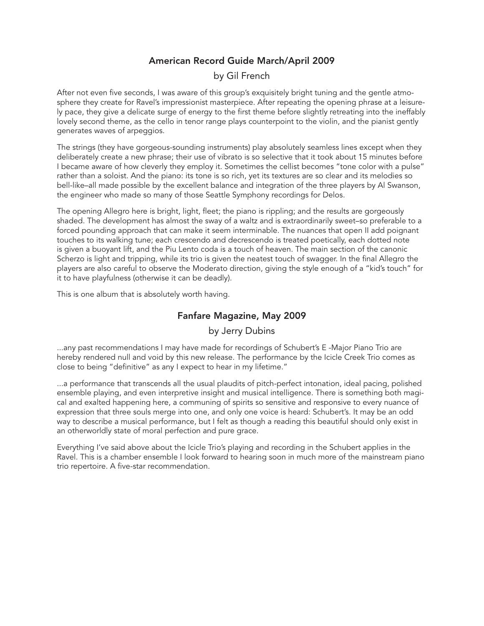### American Record Guide March/April 2009

#### by Gil French

After not even five seconds, I was aware of this group's exquisitely bright tuning and the gentle atmosphere they create for Ravel's impressionist masterpiece. After repeating the opening phrase at a leisurely pace, they give a delicate surge of energy to the first theme before slightly retreating into the ineffably lovely second theme, as the cello in tenor range plays counterpoint to the violin, and the pianist gently generates waves of arpeggios.

The strings (they have gorgeous-sounding instruments) play absolutely seamless lines except when they deliberately create a new phrase; their use of vibrato is so selective that it took about 15 minutes before I became aware of how cleverly they employ it. Sometimes the cellist becomes "tone color with a pulse" rather than a soloist. And the piano: its tone is so rich, yet its textures are so clear and its melodies so bell-like–all made possible by the excellent balance and integration of the three players by Al Swanson, the engineer who made so many of those Seattle Symphony recordings for Delos.

The opening Allegro here is bright, light, fleet; the piano is rippling; and the results are gorgeously shaded. The development has almost the sway of a waltz and is extraordinarily sweet–so preferable to a forced pounding approach that can make it seem interminable. The nuances that open II add poignant touches to its walking tune; each crescendo and decrescendo is treated poetically, each dotted note is given a buoyant lift, and the Piu Lento coda is a touch of heaven. The main section of the canonic Scherzo is light and tripping, while its trio is given the neatest touch of swagger. In the final Allegro the players are also careful to observe the Moderato direction, giving the style enough of a "kid's touch" for it to have playfulness (otherwise it can be deadly).

This is one album that is absolutely worth having.

#### Fanfare Magazine, May 2009

#### by Jerry Dubins

...any past recommendations I may have made for recordings of Schubert's E-Major Piano Trio are hereby rendered null and void by this new release. The performance by the Icicle Creek Trio comes as close to being "definitive" as any I expect to hear in my lifetime."

...a performance that transcends all the usual plaudits of pitch-perfect intonation, ideal pacing, polished ensemble playing, and even interpretive insight and musical intelligence. There is something both magical and exalted happening here, a communing of spirits so sensitive and responsive to every nuance of expression that three souls merge into one, and only one voice is heard: Schubert's. It may be an odd way to describe a musical performance, but I felt as though a reading this beautiful should only exist in an otherworldly state of moral perfection and pure grace.

Everything I've said above about the Icicle Trio's playing and recording in the Schubert applies in the Ravel. This is a chamber ensemble I look forward to hearing soon in much more of the mainstream piano trio repertoire. A five-star recommendation.